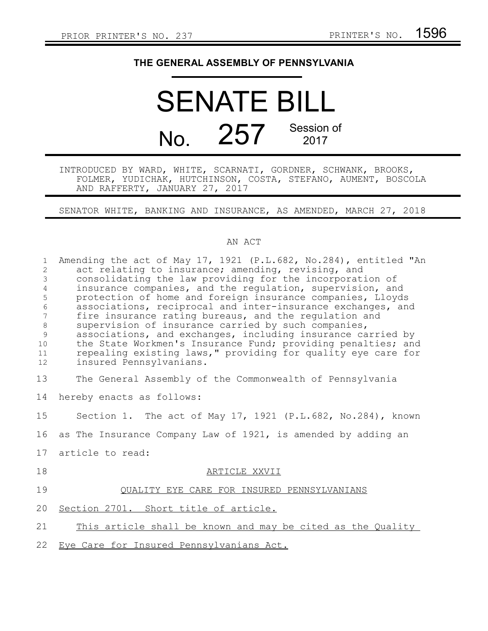## **THE GENERAL ASSEMBLY OF PENNSYLVANIA**

# SENATE BILL No. 257 Session of 2017

INTRODUCED BY WARD, WHITE, SCARNATI, GORDNER, SCHWANK, BROOKS, FOLMER, YUDICHAK, HUTCHINSON, COSTA, STEFANO, AUMENT, BOSCOLA AND RAFFERTY, JANUARY 27, 2017

SENATOR WHITE, BANKING AND INSURANCE, AS AMENDED, MARCH 27, 2018

## AN ACT

| $\mathbf{1}$<br>$\mathbf{2}$<br>3<br>$\overline{4}$<br>5<br>6<br>$\overline{7}$<br>8<br>9<br>10<br>11<br>12 | Amending the act of May 17, 1921 (P.L.682, No.284), entitled "An<br>act relating to insurance; amending, revising, and<br>consolidating the law providing for the incorporation of<br>insurance companies, and the regulation, supervision, and<br>protection of home and foreign insurance companies, Lloyds<br>associations, reciprocal and inter-insurance exchanges, and<br>fire insurance rating bureaus, and the regulation and<br>supervision of insurance carried by such companies,<br>associations, and exchanges, including insurance carried by<br>the State Workmen's Insurance Fund; providing penalties; and<br>repealing existing laws," providing for quality eye care for<br>insured Pennsylvanians. |
|-------------------------------------------------------------------------------------------------------------|------------------------------------------------------------------------------------------------------------------------------------------------------------------------------------------------------------------------------------------------------------------------------------------------------------------------------------------------------------------------------------------------------------------------------------------------------------------------------------------------------------------------------------------------------------------------------------------------------------------------------------------------------------------------------------------------------------------------|
| 13                                                                                                          | The General Assembly of the Commonwealth of Pennsylvania                                                                                                                                                                                                                                                                                                                                                                                                                                                                                                                                                                                                                                                               |
| 14                                                                                                          | hereby enacts as follows:                                                                                                                                                                                                                                                                                                                                                                                                                                                                                                                                                                                                                                                                                              |
| 15                                                                                                          | Section 1. The act of May 17, 1921 (P.L.682, No.284), known                                                                                                                                                                                                                                                                                                                                                                                                                                                                                                                                                                                                                                                            |
| 16                                                                                                          | as The Insurance Company Law of 1921, is amended by adding an                                                                                                                                                                                                                                                                                                                                                                                                                                                                                                                                                                                                                                                          |
| 17                                                                                                          | article to read:                                                                                                                                                                                                                                                                                                                                                                                                                                                                                                                                                                                                                                                                                                       |
| 18                                                                                                          | ARTICLE XXVII                                                                                                                                                                                                                                                                                                                                                                                                                                                                                                                                                                                                                                                                                                          |
| 19                                                                                                          | QUALITY EYE CARE FOR INSURED PENNSYLVANIANS                                                                                                                                                                                                                                                                                                                                                                                                                                                                                                                                                                                                                                                                            |
| 20                                                                                                          | Section 2701. Short title of article.                                                                                                                                                                                                                                                                                                                                                                                                                                                                                                                                                                                                                                                                                  |
| 21                                                                                                          | This article shall be known and may be cited as the Quality                                                                                                                                                                                                                                                                                                                                                                                                                                                                                                                                                                                                                                                            |
| 22                                                                                                          | Eye Care for Insured Pennsylvanians Act.                                                                                                                                                                                                                                                                                                                                                                                                                                                                                                                                                                                                                                                                               |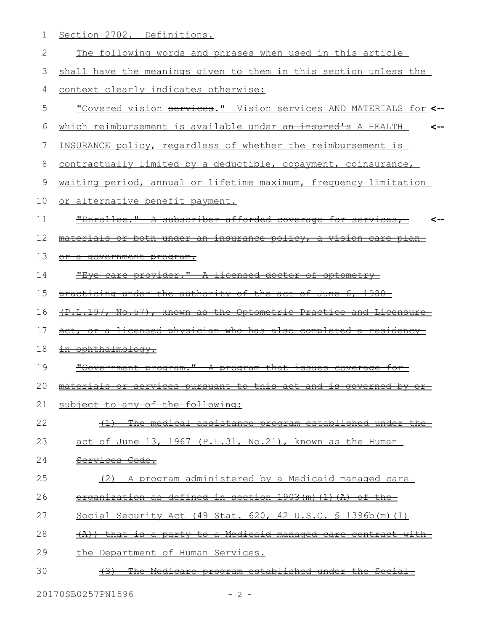1 Section 2702. Definitions.

| $\mathbf{2}$ | The following words and phrases when used in this article                |
|--------------|--------------------------------------------------------------------------|
| 3            | shall have the meanings given to them in this section unless the         |
| 4            | context clearly indicates otherwise:                                     |
| 5            | "Covered vision services." Vision services AND MATERIALS for <--         |
| 6            | which reimbursement is available under an insured's A HEALTH<br><--      |
| 7            | INSURANCE policy, regardless of whether the reimbursement is             |
| 8            | contractually limited by a deductible, copayment, coinsurance,           |
| 9            | waiting period, annual or lifetime maximum, frequency limitation         |
| 10           | or alternative benefit payment.                                          |
| 11           | "Enrollee." A subscriber afforded coverage for services,                 |
| 12           | materials or both under an insurance policy, a vision care plan-         |
| 13           | <del>or a government program.</del>                                      |
| 14           | "Eye care provider." A licensed doctor of optometry-                     |
| 15           | practicing under the authority of the act of June 6, 1980                |
| 16           | (P.L.197, No.57), known as the Optometric Practice and Licensure         |
| 17           | <u>Act, or a licensed physician who has also completed a resi</u>        |
| 18           | in ophthalmology.                                                        |
| 19           | <u>"Government program." A program that issues coverage for-</u>         |
| 20           | <u>materials or services pursuant to this act and is governed by or-</u> |
| 21           | subject to any of the following:                                         |
| 22           | <u>The medical assistance program established under</u>                  |
| 23           | act of June 13, 1967 (P.L.31, No.21), known as the Human                 |
| 24           | <del>Services Code.</del>                                                |
| 25           | <u>(2) A program administered by a Medicaid managed care-</u>            |
| 26           | organization as defined in section 1903(m)(1)(A) of the                  |
| 27           | <u>Social Security Act (49 Stat. 620, 42 U.S.C. § 1396b(m)(1)</u>        |
| 28           | (A)) that is a party to a Medicaid managed care contract with            |
| 29           | the Department of Human Services.                                        |
| 30           | The Medicare program established under the Social-                       |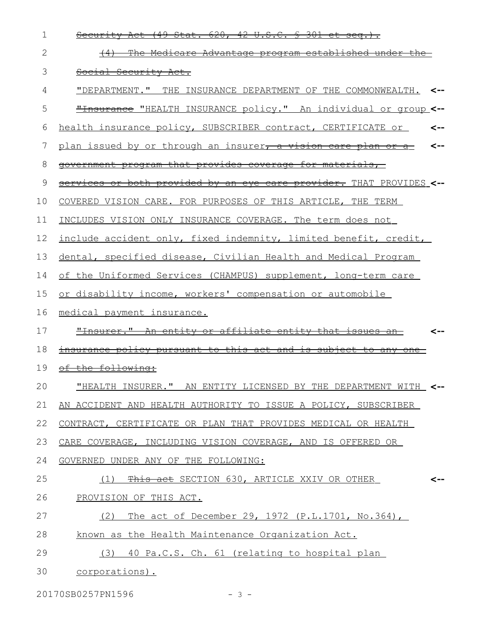| 1  | Security Act $(49 \text{ Stat. } 620, 42 \text{ U.S.C. } $301 \text{ et seq.})$ . |
|----|-----------------------------------------------------------------------------------|
| 2  | (4) The Medicare Advantage program established under the                          |
| 3  | Social Security Act.                                                              |
| 4  | "DEPARTMENT." THE INSURANCE DEPARTMENT OF THE COMMONWEALTH.<br><--                |
| 5  | "Insurance "HEALTH INSURANCE policy." An individual or group <--                  |
| 6  | health insurance policy, SUBSCRIBER contract, CERTIFICATE or<br><--               |
| 7  | plan issued by or through an insurer, a vision care plan or a<br><--              |
| 8  | <u>government program that provides coverage for materials,</u>                   |
| 9  | services or both provided by an eye care provider. THAT PROVIDES <--              |
| 10 | COVERED VISION CARE. FOR PURPOSES OF THIS ARTICLE, THE TERM                       |
| 11 | INCLUDES VISION ONLY INSURANCE COVERAGE. The term does not                        |
| 12 | include accident only, fixed indemnity, limited benefit, credit,                  |
| 13 | dental, specified disease, Civilian Health and Medical Program                    |
| 14 | of the Uniformed Services (CHAMPUS) supplement, long-term care                    |
| 15 | or disability income, workers' compensation or automobile                         |
| 16 | medical payment insurance.                                                        |
| 17 | "Insurer." An entity or affiliate entity that issues                              |
| 18 | insurance policy pursuant to this act and is subject to any one                   |
| 19 | of the following:                                                                 |
| 20 | "HEALTH INSURER." AN ENTITY LICENSED BY THE DEPARTMENT WITH <--                   |
| 21 | AN ACCIDENT AND HEALTH AUTHORITY TO ISSUE A POLICY, SUBSCRIBER                    |
| 22 | CONTRACT, CERTIFICATE OR PLAN THAT PROVIDES MEDICAL OR HEALTH                     |
| 23 | CARE COVERAGE, INCLUDING VISION COVERAGE, AND IS OFFERED OR                       |
| 24 | GOVERNED UNDER ANY OF THE FOLLOWING:                                              |
| 25 | This act SECTION 630, ARTICLE XXIV OR OTHER<br>(1)<br><--                         |
| 26 | PROVISION OF THIS ACT.                                                            |
| 27 | The act of December 29, 1972 (P.L.1701, No.364),<br>(2)                           |
| 28 | known as the Health Maintenance Organization Act.                                 |
| 29 | (3) 40 Pa.C.S. Ch. 61 (relating to hospital plan                                  |
| 30 | corporations).                                                                    |

20170SB0257PN1596 - 3 -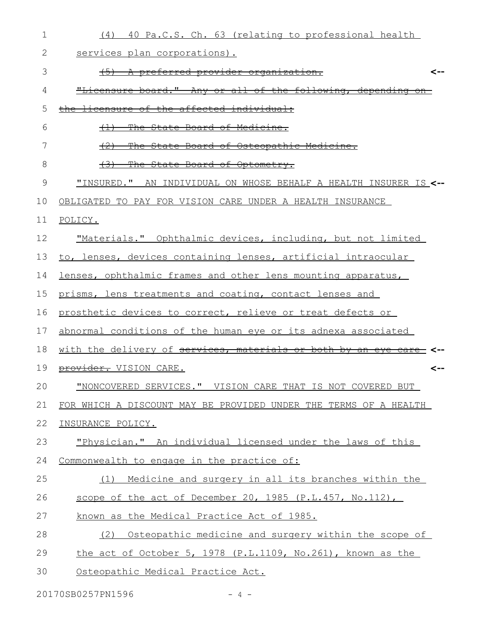| 1  | (4) 40 Pa.C.S. Ch. 63 (relating to professional health           |
|----|------------------------------------------------------------------|
| 2  | services plan corporations).                                     |
| 3  | (5) A preferred provider organization.<br><--                    |
| 4  | "Licensure board." Any or all of the following, depending        |
| 5  | the licensure of the affected individual:                        |
| 6  | The State Board of Medicine.<br>$\leftrightarrow$                |
| 7  | The State Board of Osteopathic Medicine.<br>$+2$                 |
| 8  | The State Board of Optometry.<br><del>(3)</del>                  |
| 9  | "INSURED." AN INDIVIDUAL ON WHOSE BEHALF A HEALTH INSURER IS <-- |
| 10 | OBLIGATED TO PAY FOR VISION CARE UNDER A HEALTH INSURANCE        |
| 11 | POLICY.                                                          |
| 12 | "Materials." Ophthalmic devices, including, but not limited      |
| 13 | to, lenses, devices containing lenses, artificial intraocular    |
| 14 | lenses, ophthalmic frames and other lens mounting apparatus,     |
| 15 | prisms, lens treatments and coating, contact lenses and          |
| 16 | prosthetic devices to correct, relieve or treat defects or       |
| 17 | abnormal conditions of the human eye or its adnexa associated    |
| 18 | with the delivery of services, materials or both by an eye care  |
| 19 | provider. VISION CARE.<br><--                                    |
| 20 | "NONCOVERED SERVICES." VISION CARE THAT IS NOT COVERED BUT       |
| 21 | FOR WHICH A DISCOUNT MAY BE PROVIDED UNDER THE TERMS OF A HEALTH |
| 22 | INSURANCE POLICY.                                                |
| 23 | "Physician." An individual licensed under the laws of this       |
| 24 | Commonwealth to engage in the practice of:                       |
| 25 | (1) Medicine and surgery in all its branches within the          |
| 26 | scope of the act of December 20, 1985 (P.L.457, No.112),         |
| 27 | known as the Medical Practice Act of 1985.                       |
| 28 | (2) Osteopathic medicine and surgery within the scope of         |
| 29 | the act of October 5, 1978 (P.L.1109, No.261), known as the      |
| 30 | Osteopathic Medical Practice Act.                                |

20170SB0257PN1596 - 4 -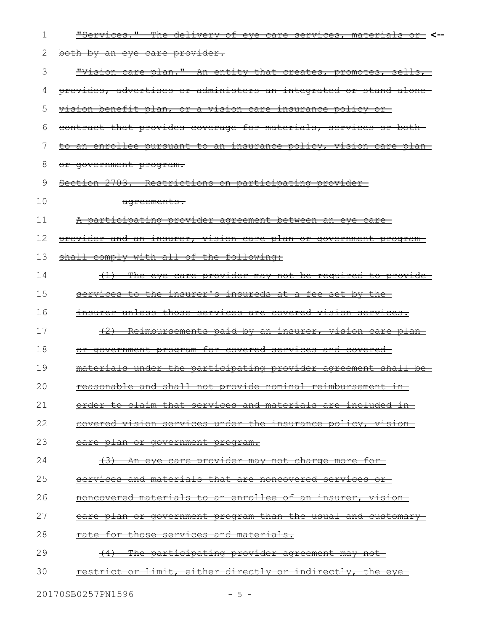| 1  | <u> "Services."</u><br><u>The delivery of eye care services, materials or</u> <-- |
|----|-----------------------------------------------------------------------------------|
| 2  | both by an eye care provider.                                                     |
| 3  | "Vision care plan." An entity that creates, promotes, sells,                      |
| 4  | <u>provides, advertises or administers an integrated or stand alone-</u>          |
| 5  | vision benefit plan, or a vision care insurance policy or                         |
| 6  | contract that provides coverage for materials, services or both-                  |
|    | to an enrollee pursuant to an insurance policy, vision care plan-                 |
| 8  | <del>or government program.</del>                                                 |
| 9  | Section 2703. Restrictions on participating provider-                             |
| 10 | <del>agreements.</del>                                                            |
| 11 | <u>A participating provider agreement between an eye care-</u>                    |
| 12 | <u>provider and an insurer, vision care plan or government program-</u>           |
| 13 | shall comply with all of the following:                                           |
| 14 | The eye care provider may not be required to provide<br>$\leftrightarrow$         |
| 15 | services to the insurer's insureds at a fee set by the                            |
| 16 | <u>insurer unless those services are covered vision services.</u>                 |
| 17 | <u>Reimbursements paid by an insurer, vision care plan-</u>                       |
| 18 | <u>or government program for covered services and covered-</u>                    |
| 19 | materials under the participating provider agreement shall be-                    |
| 20 | reasonable and shall not provide nominal reimbursement                            |
| 21 | <u>order to claim that services and materials are included in-</u>                |
| 22 | covered vision services under the insurance policy, vision                        |
| 23 | <u>care plan or government program.</u>                                           |
| 24 | (3) An eye care provider may not charge more for                                  |
| 25 | <u>services and materials that are noncovered services or-</u>                    |
| 26 | noncovered materials to an enrollee of an insurer, vision                         |
| 27 | care plan or government program than the usual and customary                      |
| 28 | rate for those services and materials.                                            |
| 29 | The participating provider agreement may not                                      |
| 30 | restrict or limit, either directly or indirectly, the eye-                        |
|    |                                                                                   |

20170SB0257PN1596 - 5 -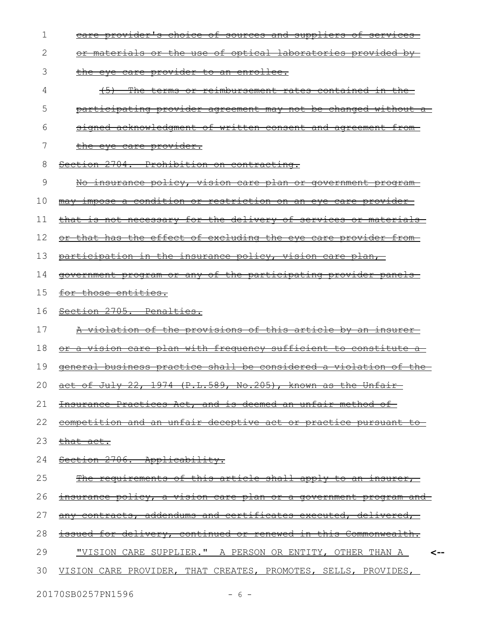- care provider's choice of sources and suppliers of services 1
- or materials or the use of optical laboratories provided by 2
- the eye care provider to an enrollee. 3
- (5) The terms or reimbursement rates contained in the 4
- participating provider agreement may not be changed without 5
- signed acknowledgment of written consent and agreement from 6
- the eye care provider. 7
- Section 2704. Prohibition on contracting. 8
- No insurance policy, vision care plan or government program 9
- may impose a condition or restriction on an eye care provider 10
- that is not necessary for the delivery of services or materials 11
- or that has the effect of excluding the eye care provider from 12
- participation in the insurance policy, vision care plan, 13
- government program or any of the participating provider panels 14
- for those entities. 15
- Section 2705. Penalties. 16
- A violation of the provisions of this article by an insurer 17
- or a vision care plan with frequency sufficient to constitute a 18
- general business practice shall be considered a violation of the 19
- act of July 22, 1974  $(P.L.589, No.205)$ , known as the Unfair-20
- Insurance Practices Act, and is deemed an unfair method of 21
- competition and an unfair deceptive act or practice pursuant to 22
- that act. 23
- Section 2706. Applicability. 24
- The requirements of this article shall apply to an insurer, 25
- insurance policy, a vision care plan or a government program and 26
- any contracts, addendums and certificates executed, delivered, 27
- issued for delivery, continued or renewed in this Commonwealth. 28
- "VISION CARE SUPPLIER." A PERSON OR ENTITY, OTHER THAN A **<--** VISION CARE PROVIDER, THAT CREATES, PROMOTES, SELLS, PROVIDES, 29 30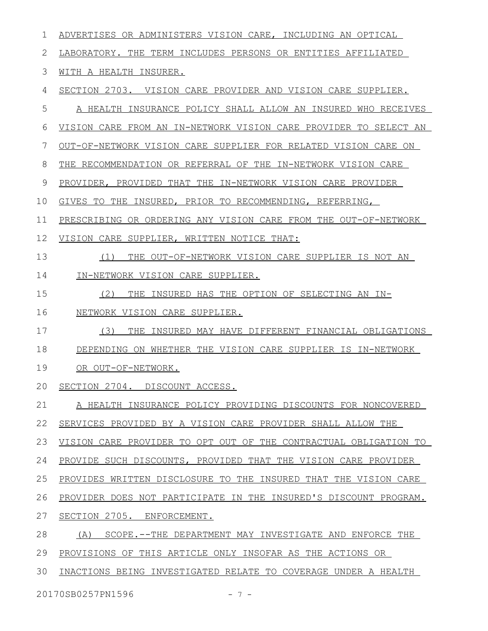| 1  | ADVERTISES OR ADMINISTERS VISION CARE, INCLUDING AN OPTICAL      |
|----|------------------------------------------------------------------|
| 2  | LABORATORY. THE TERM INCLUDES PERSONS OR ENTITIES AFFILIATED     |
| 3  | WITH A HEALTH INSURER.                                           |
| 4  | SECTION 2703. VISION CARE PROVIDER AND VISION CARE SUPPLIER.     |
| 5  | A HEALTH INSURANCE POLICY SHALL ALLOW AN INSURED WHO RECEIVES    |
| 6  | VISION CARE FROM AN IN-NETWORK VISION CARE PROVIDER TO SELECT AN |
| 7  | OUT-OF-NETWORK VISION CARE SUPPLIER FOR RELATED VISION CARE ON   |
| 8  | THE RECOMMENDATION OR REFERRAL OF THE IN-NETWORK VISION CARE     |
| 9  | PROVIDER, PROVIDED THAT THE IN-NETWORK VISION CARE PROVIDER      |
| 10 | GIVES TO THE INSURED, PRIOR TO RECOMMENDING, REFERRING,          |
| 11 | PRESCRIBING OR ORDERING ANY VISION CARE FROM THE OUT-OF-NETWORK  |
| 12 | VISION CARE SUPPLIER, WRITTEN NOTICE THAT:                       |
| 13 | (1)<br>THE OUT-OF-NETWORK VISION CARE SUPPLIER IS NOT AN         |
| 14 | IN-NETWORK VISION CARE SUPPLIER.                                 |
| 15 | (2)<br>THE INSURED HAS THE OPTION OF SELECTING AN IN-            |
|    |                                                                  |
| 16 | NETWORK VISION CARE SUPPLIER.                                    |
| 17 | (3)<br>INSURED MAY HAVE DIFFERENT FINANCIAL OBLIGATIONS<br>THE   |
| 18 | DEPENDING ON WHETHER THE VISION CARE SUPPLIER IS IN-NETWORK      |
| 19 | OR OUT-OF-NETWORK.                                               |
| 20 | SECTION 2704. DISCOUNT ACCESS.                                   |
| 21 | A HEALTH INSURANCE POLICY PROVIDING DISCOUNTS FOR NONCOVERED     |
| 22 | SERVICES PROVIDED BY A VISION CARE PROVIDER SHALL ALLOW THE      |
| 23 | VISION CARE PROVIDER TO OPT OUT OF THE CONTRACTUAL OBLIGATION TO |
| 24 | PROVIDE SUCH DISCOUNTS, PROVIDED THAT THE VISION CARE PROVIDER   |
| 25 | PROVIDES WRITTEN DISCLOSURE TO THE INSURED THAT THE VISION CARE  |
| 26 | PROVIDER DOES NOT PARTICIPATE IN THE INSURED'S DISCOUNT PROGRAM. |
| 27 | SECTION 2705. ENFORCEMENT.                                       |
| 28 | SCOPE.--THE DEPARTMENT MAY INVESTIGATE AND ENFORCE THE<br>(A)    |
| 29 | PROVISIONS OF THIS ARTICLE ONLY INSOFAR AS THE ACTIONS OR        |

20170SB0257PN1596 - 7 -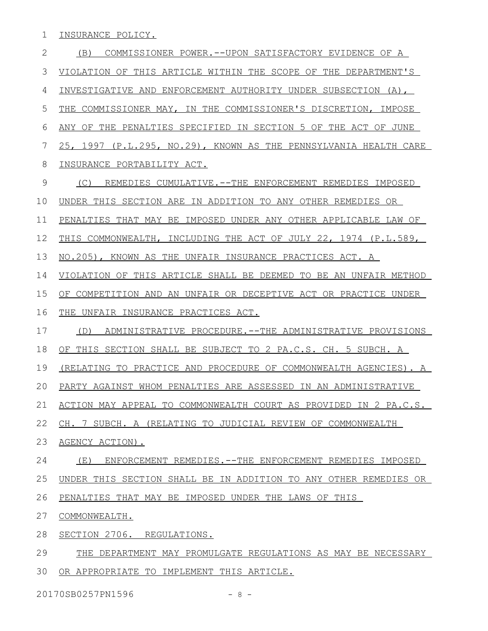1 INSURANCE POLICY.

| 2           | COMMISSIONER POWER.--UPON SATISFACTORY EVIDENCE OF A<br>(B)      |
|-------------|------------------------------------------------------------------|
| 3           | VIOLATION OF THIS ARTICLE WITHIN THE SCOPE OF THE DEPARTMENT'S   |
| 4           | INVESTIGATIVE AND ENFORCEMENT AUTHORITY UNDER SUBSECTION (A),    |
| 5           | THE COMMISSIONER MAY, IN THE COMMISSIONER'S DISCRETION, IMPOSE   |
| 6           | ANY OF THE PENALTIES SPECIFIED IN SECTION 5 OF THE ACT OF JUNE   |
| 7           | 25, 1997 (P.L.295, NO.29), KNOWN AS THE PENNSYLVANIA HEALTH CARE |
| 8           | INSURANCE PORTABILITY ACT.                                       |
| $\mathsf 9$ | REMEDIES CUMULATIVE. -- THE ENFORCEMENT REMEDIES IMPOSED<br>(C)  |
| 10          | UNDER THIS SECTION ARE IN ADDITION TO ANY OTHER REMEDIES OR      |
| 11          | PENALTIES THAT MAY BE IMPOSED UNDER ANY OTHER APPLICABLE LAW OF  |
| 12          | THIS COMMONWEALTH, INCLUDING THE ACT OF JULY 22, 1974 (P.L.589,  |
| 13          | NO.205), KNOWN AS THE UNFAIR INSURANCE PRACTICES ACT. A          |
| 14          | VIOLATION OF THIS ARTICLE SHALL BE DEEMED TO BE AN UNFAIR METHOD |
| 15          | OF COMPETITION AND AN UNFAIR OR DECEPTIVE ACT OR PRACTICE UNDER  |
| 16          | THE UNFAIR INSURANCE PRACTICES ACT.                              |
| 17          | ADMINISTRATIVE PROCEDURE.--THE ADMINISTRATIVE PROVISIONS<br>(D)  |
| 18          | OF THIS SECTION SHALL BE SUBJECT TO 2 PA.C.S. CH. 5 SUBCH. A     |
| 19          | (RELATING TO PRACTICE AND PROCEDURE OF COMMONWEALTH AGENCIES). A |
| 20          | PARTY AGAINST WHOM PENALTIES ARE ASSESSED IN AN ADMINISTRATIVE   |
| 21          | ACTION MAY APPEAL TO COMMONWEALTH COURT AS PROVIDED IN 2 PA.C.S. |
| 22          | CH. 7 SUBCH. A (RELATING TO JUDICIAL REVIEW OF COMMONWEALTH      |
| 23          | AGENCY ACTION).                                                  |
| 24          | (E)<br>ENFORCEMENT REMEDIES.--THE ENFORCEMENT REMEDIES IMPOSED   |
| 25          | UNDER THIS SECTION SHALL BE IN ADDITION TO ANY OTHER REMEDIES OR |
| 26          | PENALTIES THAT MAY BE IMPOSED UNDER THE LAWS OF THIS             |
| 27          | COMMONWEALTH.                                                    |
| 28          | SECTION 2706. REGULATIONS.                                       |
| 29          | THE DEPARTMENT MAY PROMULGATE REGULATIONS AS MAY BE NECESSARY    |
|             |                                                                  |

30 OR APPROPRIATE TO IMPLEMENT THIS ARTICLE.

20170SB0257PN1596 - 8 -